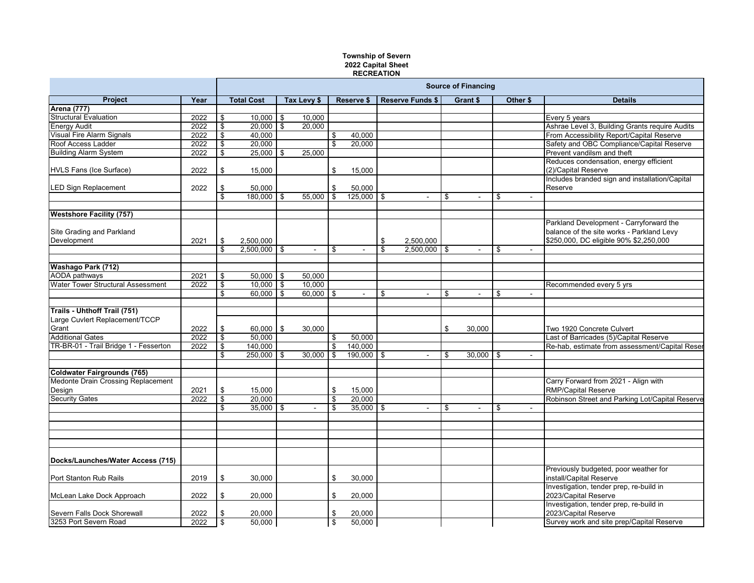## **Township of Severn 2022 Capital Sheet RECREATION**

|                                           |      | ייטונראשע<br><b>Source of Financing</b> |                             |  |              |            |              |    |                         |    |          |      |          |                                                                                     |
|-------------------------------------------|------|-----------------------------------------|-----------------------------|--|--------------|------------|--------------|----|-------------------------|----|----------|------|----------|-------------------------------------------------------------------------------------|
| Project                                   | Year |                                         | <b>Total Cost</b>           |  | Tax Levy \$  |            | Reserve \$   |    | <b>Reserve Funds \$</b> |    | Grant \$ |      | Other \$ | <b>Details</b>                                                                      |
| <b>Arena (777)</b>                        |      |                                         |                             |  |              |            |              |    |                         |    |          |      |          |                                                                                     |
| <b>Structural Evaluation</b>              | 2022 | \$                                      | $10,000$ \$                 |  | 10,000       |            |              |    |                         |    |          |      |          | Every 5 years                                                                       |
| <b>Energy Audit</b>                       | 2022 | \$                                      | $20.000$ \ \$               |  | 20,000       |            |              |    |                         |    |          |      |          | Ashrae Level 3, Building Grants require Audits                                      |
| Visual Fire Alarm Signals                 | 2022 | \$                                      | 40,000                      |  |              | \$         | 40,000       |    |                         |    |          |      |          | From Accessibility Report/Capital Reserve                                           |
| Roof Access Ladder                        | 2022 | \$                                      | 20,000                      |  |              | \$         | 20.000       |    |                         |    |          |      |          | Safety and OBC Compliance/Capital Reserve                                           |
| <b>Building Alarm System</b>              | 2022 | \$                                      | $25,000$ \$                 |  | 25,000       |            |              |    |                         |    |          |      |          | Prevent vandilsm and theft                                                          |
|                                           |      |                                         |                             |  |              |            |              |    |                         |    |          |      |          | Reduces condensation, energy efficient                                              |
| HVLS Fans (Ice Surface)                   | 2022 | \$                                      | 15,000                      |  |              | \$         | 15,000       |    |                         |    |          |      |          | (2)/Capital Reserve                                                                 |
|                                           |      |                                         |                             |  |              |            |              |    |                         |    |          |      |          | Includes branded sign and installation/Capital                                      |
| <b>LED Sign Replacement</b>               | 2022 | \$                                      | 50,000                      |  |              | \$         | 50,000       |    |                         |    |          |      |          | Reserve                                                                             |
|                                           |      | \$                                      | 180,000 \$                  |  | 55,000       | $\sqrt{3}$ | 125,000 \$   |    | $\sim$                  | \$ | $\sim$   | \$   |          |                                                                                     |
|                                           |      |                                         |                             |  |              |            |              |    |                         |    |          |      |          |                                                                                     |
| <b>Westshore Facility (757)</b>           |      |                                         |                             |  |              |            |              |    |                         |    |          |      |          |                                                                                     |
|                                           |      |                                         |                             |  |              |            |              |    |                         |    |          |      |          | Parkland Development - Carryforward the                                             |
| Site Grading and Parkland<br>Development  | 2021 | \$                                      |                             |  |              |            |              | \$ | 2,500,000               |    |          |      |          | balance of the site works - Parkland Levy<br>\$250,000, DC eligible 90% \$2,250,000 |
|                                           |      | \$                                      | 2,500,000<br>$2,500,000$ \$ |  | $\mathbf{r}$ | \$         |              | \$ | 2,500,000               | \$ |          | \$   |          |                                                                                     |
|                                           |      |                                         |                             |  |              |            |              |    |                         |    |          |      |          |                                                                                     |
| Washago Park (712)                        |      |                                         |                             |  |              |            |              |    |                         |    |          |      |          |                                                                                     |
| <b>AODA</b> pathways                      | 2021 | \$                                      | $50,000$ \$                 |  | 50,000       |            |              |    |                         |    |          |      |          |                                                                                     |
| <b>Water Tower Structural Assessment</b>  | 2022 | \$                                      | $10,000$ \$                 |  | 10,000       |            |              |    |                         |    |          |      |          | Recommended every 5 yrs                                                             |
|                                           |      | \$                                      | $60,000$ \$                 |  | $60,000$ \$  |            | $\sim$       | \$ | $\sim$                  | \$ | $\sim$   | \$   |          |                                                                                     |
|                                           |      |                                         |                             |  |              |            |              |    |                         |    |          |      |          |                                                                                     |
| Trails - Uhthoff Trail (751)              |      |                                         |                             |  |              |            |              |    |                         |    |          |      |          |                                                                                     |
| Large Cuvlert Replacement/TCCP            |      |                                         |                             |  |              |            |              |    |                         |    |          |      |          |                                                                                     |
| Grant                                     | 2022 | \$                                      | $60,000$   \$               |  | 30,000       |            |              |    |                         | \$ | 30,000   |      |          | Two 1920 Concrete Culvert                                                           |
| <b>Additional Gates</b>                   | 2022 | \$                                      | 50.000                      |  |              | \$         | 50.000       |    |                         |    |          |      |          | Last of Barricades (5)/Capital Reserve                                              |
| TR-BR-01 - Trail Bridge 1 - Fesserton     | 2022 | \$                                      | 140,000                     |  |              | \$         | 140,000      |    |                         |    |          |      |          | Re-hab, estimate from assessment/Capital Reser                                      |
|                                           |      | \$                                      | 250,000 \$                  |  | 30,000       | \$         | $190,000$ \$ |    | $\mathbf{r}$            | \$ | 30,000   | l \$ |          |                                                                                     |
|                                           |      |                                         |                             |  |              |            |              |    |                         |    |          |      |          |                                                                                     |
| <b>Coldwater Fairgrounds (765)</b>        |      |                                         |                             |  |              |            |              |    |                         |    |          |      |          |                                                                                     |
| <b>Medonte Drain Crossing Replacement</b> |      |                                         |                             |  |              |            |              |    |                         |    |          |      |          | Carry Forward from 2021 - Align with                                                |
| Design                                    | 2021 | \$                                      | 15,000                      |  |              | \$         | 15,000       |    |                         |    |          |      |          | <b>RMP/Capital Reserve</b>                                                          |
| <b>Security Gates</b>                     | 2022 | \$                                      | 20,000                      |  |              | \$         | 20,000       |    |                         |    |          |      |          | Robinson Street and Parking Lot/Capital Reserve                                     |
|                                           |      | \$                                      | $35,000$ \$                 |  | $\sim$       | \$         | $35,000$ \$  |    | $\sim$                  | \$ |          | \$   |          |                                                                                     |
|                                           |      |                                         |                             |  |              |            |              |    |                         |    |          |      |          |                                                                                     |
|                                           |      |                                         |                             |  |              |            |              |    |                         |    |          |      |          |                                                                                     |
|                                           |      |                                         |                             |  |              |            |              |    |                         |    |          |      |          |                                                                                     |
|                                           |      |                                         |                             |  |              |            |              |    |                         |    |          |      |          |                                                                                     |
|                                           |      |                                         |                             |  |              |            |              |    |                         |    |          |      |          |                                                                                     |
| Docks/Launches/Water Access (715)         |      |                                         |                             |  |              |            |              |    |                         |    |          |      |          |                                                                                     |
|                                           |      |                                         |                             |  |              |            |              |    |                         |    |          |      |          | Previously budgeted, poor weather for                                               |
| Port Stanton Rub Rails                    | 2019 | \$                                      | 30,000                      |  |              | \$         | 30,000       |    |                         |    |          |      |          | install/Capital Reserve<br>Investigation, tender prep, re-build in                  |
| McLean Lake Dock Approach                 | 2022 | \$                                      | 20,000                      |  |              | \$         | 20,000       |    |                         |    |          |      |          | 2023/Capital Reserve                                                                |
|                                           |      |                                         |                             |  |              |            |              |    |                         |    |          |      |          | Investigation, tender prep, re-build in                                             |
| Severn Falls Dock Shorewall               | 2022 | \$                                      | 20,000                      |  |              | \$         | 20,000       |    |                         |    |          |      |          | 2023/Capital Reserve                                                                |
| 3253 Port Severn Road                     | 2022 | \$                                      | 50,000                      |  |              | \$         | 50,000       |    |                         |    |          |      |          | Survey work and site prep/Capital Reserve                                           |
|                                           |      |                                         |                             |  |              |            |              |    |                         |    |          |      |          |                                                                                     |